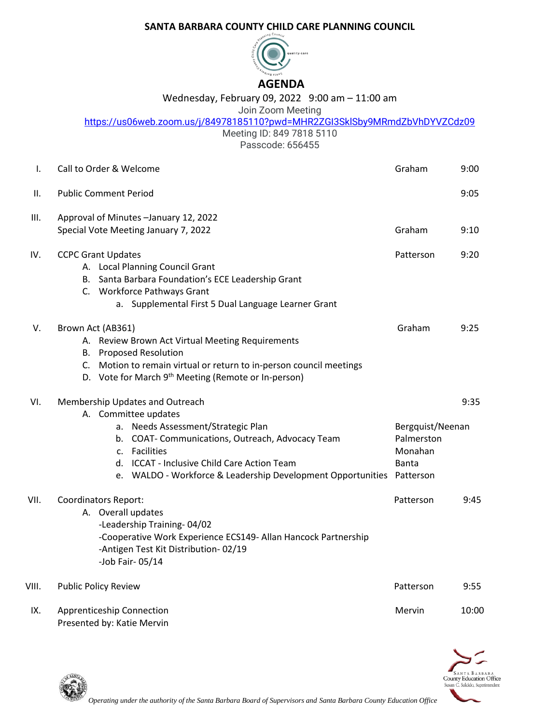## **SANTA BARBARA COUNTY CHILD CARE PLANNING COUNCIL**



## Wednesday, February 09, 2022 9:00 am – 11:00 am

Join Zoom Meeting

|  |  | https://us06web.zoom.us/j/84978185110?pwd=MHR2ZGI3SkISby9MRmdZbVhDYVZCdz09 |
|--|--|----------------------------------------------------------------------------|
|  |  |                                                                            |

Meeting ID: 849 7818 5110

Passcode: 656455

| Ι.    | Call to Order & Welcome                                                                                                                                                                                                                                                                    | Graham                                             | 9:00  |
|-------|--------------------------------------------------------------------------------------------------------------------------------------------------------------------------------------------------------------------------------------------------------------------------------------------|----------------------------------------------------|-------|
| н.    | <b>Public Comment Period</b>                                                                                                                                                                                                                                                               |                                                    | 9:05  |
| III.  | Approval of Minutes - January 12, 2022<br>Special Vote Meeting January 7, 2022                                                                                                                                                                                                             | Graham                                             | 9:10  |
| IV.   | <b>CCPC Grant Updates</b><br>A. Local Planning Council Grant<br>B. Santa Barbara Foundation's ECE Leadership Grant<br>C. Workforce Pathways Grant<br>a. Supplemental First 5 Dual Language Learner Grant                                                                                   | Patterson                                          | 9:20  |
| V.    | Brown Act (AB361)<br>A. Review Brown Act Virtual Meeting Requirements<br><b>B.</b> Proposed Resolution<br>C. Motion to remain virtual or return to in-person council meetings<br>D. Vote for March 9 <sup>th</sup> Meeting (Remote or In-person)                                           | Graham                                             | 9:25  |
| VI.   | Membership Updates and Outreach<br>A. Committee updates<br>a. Needs Assessment/Strategic Plan<br>b. COAT- Communications, Outreach, Advocacy Team<br>c. Facilities<br>d. ICCAT - Inclusive Child Care Action Team<br>e. WALDO - Workforce & Leadership Development Opportunities Patterson | Bergquist/Neenan<br>Palmerston<br>Monahan<br>Banta | 9:35  |
| VII.  | <b>Coordinators Report:</b><br>A. Overall updates<br>-Leadership Training-04/02<br>-Cooperative Work Experience ECS149- Allan Hancock Partnership<br>-Antigen Test Kit Distribution-02/19<br>-Job Fair-05/14                                                                               | Patterson                                          | 9:45  |
| VIII. | <b>Public Policy Review</b>                                                                                                                                                                                                                                                                | Patterson                                          | 9:55  |
| IX.   | Apprenticeship Connection                                                                                                                                                                                                                                                                  | Mervin                                             | 10:00 |



Presented by: Katie Mervin